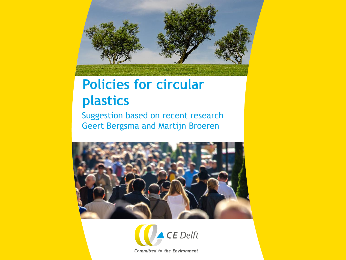

## **Policies for circular plastics**

Suggestion based on recent research Geert Bergsma and Martijn Broeren





Committed to the Environment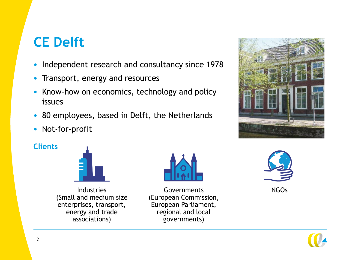## **CE Delft**

- Independent research and consultancy since 1978
- Transport, energy and resources
- Know-how on economics, technology and policy issues
- 80 employees, based in Delft, the Netherlands
- Not-for-profit

#### **Clients**



Industries (Small and medium size enterprises, transport, energy and trade associations)



Governments NGOs (European Commission, European Parliament, regional and local governments)





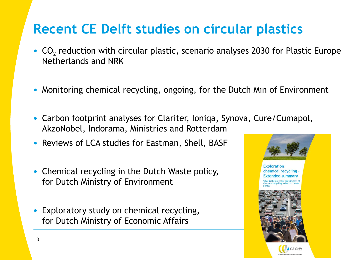## **Recent CE Delft studies on circular plastics**

- $CO<sub>2</sub>$  reduction with circular plastic, scenario analyses 2030 for Plastic Europe Netherlands and NRK
- Monitoring chemical recycling, ongoing, for the Dutch Min of Environment
- Carbon footprint analyses for Clariter, Ioniqa, Synova, Cure/Cumapol, AkzoNobel, Indorama, Ministries and Rotterdam
- Reviews of LCA studies for Eastman, Shell, BASF
- Chemical recycling in the Dutch Waste policy, for Dutch Ministry of Environment
- Exploratory study on chemical recycling, for Dutch Ministry of Economic Affairs

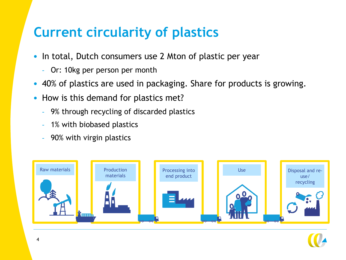### **Current circularity of plastics**

- In total, Dutch consumers use 2 Mton of plastic per year
	- Or: 10kg per person per month
- 40% of plastics are used in packaging. Share for products is growing.
- How is this demand for plastics met?
	- 9% through recycling of discarded plastics
	- 1% with biobased plastics
	- 90% with virgin plastics



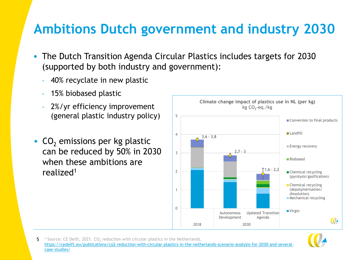### **Ambitions Dutch government and industry 2030**

- The Dutch Transition Agenda Circular Plastics includes targets for 2030 (supported by both industry and government):
	- 40% recyclate in new plastic
	- 15% biobased plastic
	- 2%/yr efficiency improvement (general plastic industry policy)
- $CO<sub>2</sub>$  emissions per kg plastic can be reduced by 50% in 2030 when these ambitions are realized<sup>1</sup>





5 <sup>1</sup> Source: CE Delft, 2021. CO<sub>2</sub> reduction with circular plastics in the Netherlands. [https://cedelft.eu/publications/co2-reduction-with-circular-plastics-in-the-netherlands-scenario-analysis-for-2030-and-several](https://cedelft.eu/publications/co2-reduction-with-circular-plastics-in-the-netherlands-scenario-analysis-for-2030-and-several-case-studies/)case-studies/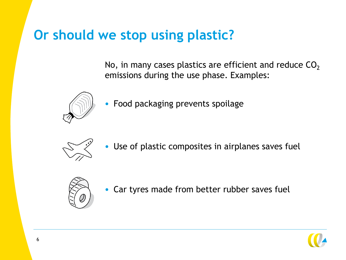### **Or should we stop using plastic?**

No, in many cases plastics are efficient and reduce  $CO<sub>2</sub>$ emissions during the use phase. Examples:



• Food packaging prevents spoilage



• Use of plastic composites in airplanes saves fuel



• Car tyres made from better rubber saves fuel

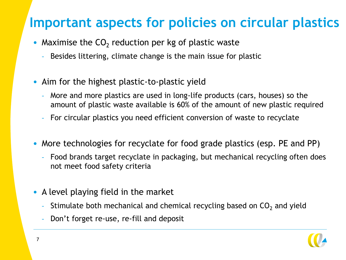### **Important aspects for policies on circular plastics**

- Maximise the  $CO<sub>2</sub>$  reduction per kg of plastic waste
	- Besides littering, climate change is the main issue for plastic
- Aim for the highest plastic-to-plastic yield
	- More and more plastics are used in long-life products (cars, houses) so the amount of plastic waste available is 60% of the amount of new plastic required
	- For circular plastics you need efficient conversion of waste to recyclate
- More technologies for recyclate for food grade plastics (esp. PE and PP)
	- Food brands target recyclate in packaging, but mechanical recycling often does not meet food safety criteria
- A level playing field in the market
	- Stimulate both mechanical and chemical recycling based on  $CO<sub>2</sub>$  and yield
	- Don't forget re-use, re-fill and deposit

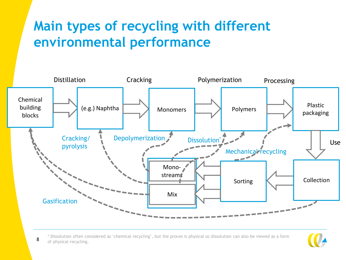## **Main types of recycling with different environmental performance**



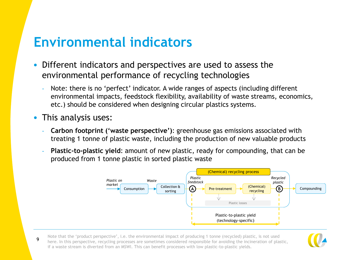### **Environmental indicators**

- Different indicators and perspectives are used to assess the environmental performance of recycling technologies
	- Note: there is no 'perfect' indicator. A wide ranges of aspects (including different environmental impacts, feedstock flexibility, availability of waste streams, economics, etc.) should be considered when designing circular plastics systems.
- This analysis uses:
	- **Carbon footprint ('waste perspective')**: greenhouse gas emissions associated with treating 1 tonne of plastic waste, including the production of new valuable products
	- **Plastic-to-plastic yield:** amount of new plastic, ready for compounding, that can be produced from 1 tonne plastic in sorted plastic waste



9 Note that the 'product perspective', i.e. the environmental impact of producing 1 tonne (recycled) plastic, is not used here. In this perspective, recycling processes are sometimes considered responsible for avoiding the incineration of plastic, if a waste stream is diverted from an MSWI. This can benefit processes with low plastic-to-plastic yields.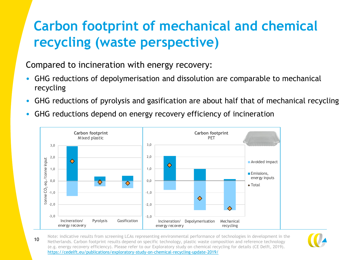# **Carbon footprint of mechanical and chemical recycling (waste perspective)**

Compared to incineration with energy recovery:

- GHG reductions of depolymerisation and dissolution are comparable to mechanical recycling
- GHG reductions of pyrolysis and gasification are about half that of mechanical recycling
- GHG reductions depend on energy recovery efficiency of incineration



10 Note: indicative results from screening LCAs representing environmental performance of technologies in development in the Netherlands. Carbon footprint results depend on specific technology, plastic waste composition and reference technology (e.g. energy recovery efficiency). Please refer to our Exploratory study on chemical recycling for details (CE Delft, 2019). <https://cedelft.eu/publications/exploratory-study-on-chemical-recycling-update-2019/>

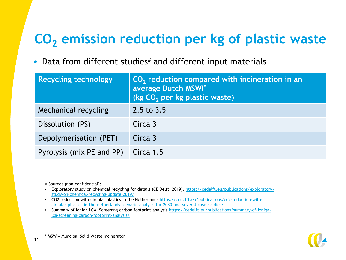# **CO<sup>2</sup> emission reduction per kg of plastic waste**

• Data from different studies $#$  and different input materials

| <b>Recycling technology</b> | $CO2$ reduction compared with incineration in an<br>average Dutch MSWI*<br>(kg CO <sub>2</sub> per kg plastic waste) |  |
|-----------------------------|----------------------------------------------------------------------------------------------------------------------|--|
| Mechanical recycling        | 2.5 to 3.5                                                                                                           |  |
| Dissolution (PS)            | Circa 3                                                                                                              |  |
| Depolymerisation (PET)      | Circa 3                                                                                                              |  |
| Pyrolysis (mix PE and PP)   | Circa 1.5                                                                                                            |  |

# Sources (non-confidential):

- [Exploratory study on chemical recycling for details \(CE Delft, 2019\). https://cedelft.eu/publications/exploratory](https://cedelft.eu/publications/exploratory-study-on-chemical-recycling-update-2019/)study-on-chemical-recycling-update-2019/
- [CO2 reduction with circular plastics in the Netherlands https://cedelft.eu/publications/co2-reduction-with](https://cedelft.eu/publications/co2-reduction-with-circular-plastics-in-the-netherlands-scenario-analysis-for-2030-and-several-case-studies/)circular-plastics-in-the-netherlands-scenario-analysis-for-2030-and-several-case-studies/
- Summary of Ioniqa [LCA. Screening carbon footprint analysis https://cedelft.eu/publications/summary-of-ioniqa](https://cedelft.eu/publications/summary-of-ioniqa-lca-screening-carbon-footprint-analysis/)lca-screening-carbon-footprint-analysis/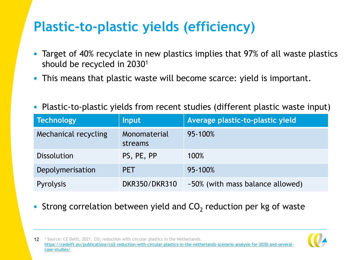# **Plastic-to-plastic yields (efficiency)**

- Target of 40% recyclate in new plastics implies that 97% of all waste plastics should be recycled in 2030<sup>1</sup>
- This means that plastic waste will become scarce: yield is important.
- Plastic-to-plastic yields from recent studies (different plastic waste input)

| <b>Technology</b>    | <b>Input</b>            | Average plastic-to-plastic yield |
|----------------------|-------------------------|----------------------------------|
| Mechanical recycling | Monomaterial<br>streams | 95-100%                          |
| <b>Dissolution</b>   | PS, PE, PP              | 100%                             |
| Depolymerisation     | <b>PET</b>              | 95-100%                          |
| <b>Pyrolysis</b>     | <b>DKR350/DKR310</b>    | ~50% (with mass balance allowed) |

• Strong correlation between yield and  $CO<sub>2</sub>$  reduction per kg of waste



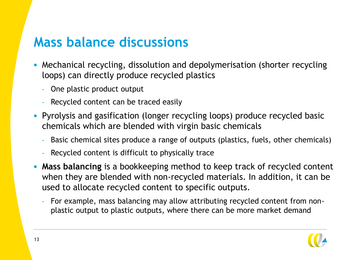#### **Mass balance discussions**

- Mechanical recycling, dissolution and depolymerisation (shorter recycling loops) can directly produce recycled plastics
	- One plastic product output
	- Recycled content can be traced easily
- Pyrolysis and gasification (longer recycling loops) produce recycled basic chemicals which are blended with virgin basic chemicals
	- Basic chemical sites produce a range of outputs (plastics, fuels, other chemicals)
	- Recycled content is difficult to physically trace
- **Mass balancing** is a bookkeeping method to keep track of recycled content when they are blended with non-recycled materials. In addition, it can be used to allocate recycled content to specific outputs.
	- For example, mass balancing may allow attributing recycled content from nonplastic output to plastic outputs, where there can be more market demand

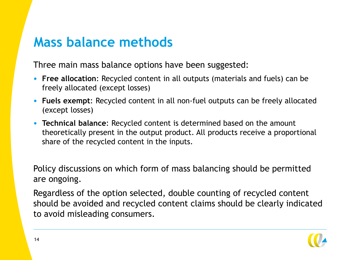#### **Mass balance methods**

Three main mass balance options have been suggested:

- **Free allocation**: Recycled content in all outputs (materials and fuels) can be freely allocated (except losses)
- **Fuels exempt**: Recycled content in all non-fuel outputs can be freely allocated (except losses)
- **Technical balance**: Recycled content is determined based on the amount theoretically present in the output product. All products receive a proportional share of the recycled content in the inputs.

Policy discussions on which form of mass balancing should be permitted are ongoing.

Regardless of the option selected, double counting of recycled content should be avoided and recycled content claims should be clearly indicated to avoid misleading consumers.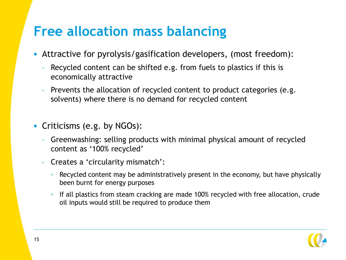### **Free allocation mass balancing**

- Attractive for pyrolysis/gasification developers, (most freedom):
	- Recycled content can be shifted e.g. from fuels to plastics if this is economically attractive
	- Prevents the allocation of recycled content to product categories (e.g. solvents) where there is no demand for recycled content
- Criticisms (e.g. by NGOs):
	- Greenwashing: selling products with minimal physical amount of recycled content as '100% recycled'
	- Creates a 'circularity mismatch':
		- Recycled content may be administratively present in the economy, but have physically been burnt for energy purposes
		- If all plastics from steam cracking are made 100% recycled with free allocation, crude oil inputs would still be required to produce them

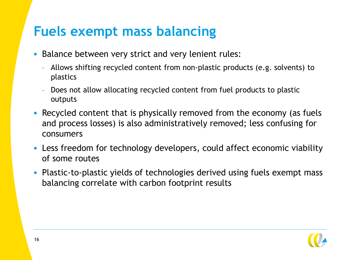### **Fuels exempt mass balancing**

- Balance between very strict and very lenient rules:
	- Allows shifting recycled content from non-plastic products (e.g. solvents) to plastics
	- Does not allow allocating recycled content from fuel products to plastic outputs
- Recycled content that is physically removed from the economy (as fuels and process losses) is also administratively removed; less confusing for consumers
- Less freedom for technology developers, could affect economic viability of some routes
- Plastic-to-plastic yields of technologies derived using fuels exempt mass balancing correlate with carbon footprint results

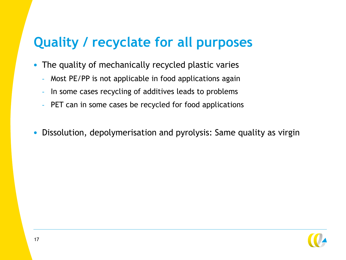## **Quality / recyclate for all purposes**

- The quality of mechanically recycled plastic varies
	- Most PE/PP is not applicable in food applications again
	- In some cases recycling of additives leads to problems
	- PET can in some cases be recycled for food applications
- Dissolution, depolymerisation and pyrolysis: Same quality as virgin

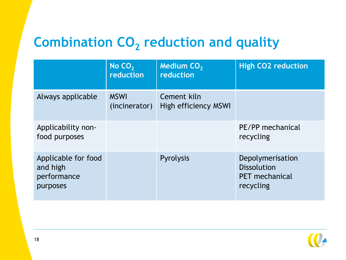# **Combination CO<sup>2</sup> reduction and quality**

|                                                            | No $CO2$<br>reduction        | <b>Medium CO<sub>2</sub></b><br>reduction | <b>High CO2 reduction</b>                                                    |
|------------------------------------------------------------|------------------------------|-------------------------------------------|------------------------------------------------------------------------------|
| Always applicable                                          | <b>MSWI</b><br>(incinerator) | Cement kiln<br>High efficiency MSWI       |                                                                              |
| Applicability non-<br>food purposes                        |                              |                                           | PE/PP mechanical<br>recycling                                                |
| Applicable for food<br>and high<br>performance<br>purposes |                              | Pyrolysis                                 | Depolymerisation<br><b>Dissolution</b><br><b>PET</b> mechanical<br>recycling |

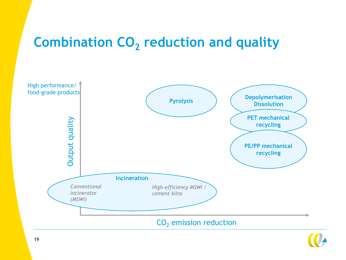# **Combination CO<sup>2</sup> reduction and quality**



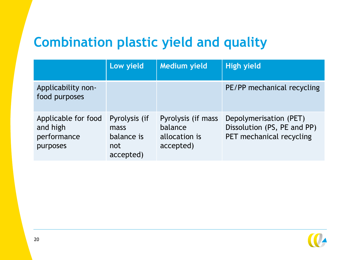# **Combination plastic yield and quality**

|                                                            | Low yield                                               | <b>Medium yield</b>                                         | <b>High yield</b>                                                                 |
|------------------------------------------------------------|---------------------------------------------------------|-------------------------------------------------------------|-----------------------------------------------------------------------------------|
| Applicability non-<br>food purposes                        |                                                         |                                                             | PE/PP mechanical recycling                                                        |
| Applicable for food<br>and high<br>performance<br>purposes | Pyrolysis (if<br>mass<br>balance is<br>not<br>accepted) | Pyrolysis (if mass<br>balance<br>allocation is<br>accepted) | Depolymerisation (PET)<br>Dissolution (PS, PE and PP)<br>PET mechanical recycling |

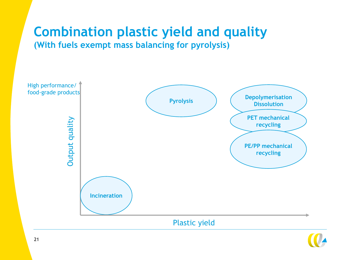#### **Combination plastic yield and quality (With fuels exempt mass balancing for pyrolysis)**



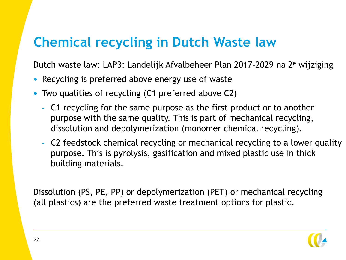### **Chemical recycling in Dutch Waste law**

Dutch waste law: LAP3: Landelijk Afvalbeheer Plan 2017-2029 na 2<sup>e</sup> wijziging

- Recycling is preferred above energy use of waste
- Two qualities of recycling (C1 preferred above C2)
	- C1 recycling for the same purpose as the first product or to another purpose with the same quality. This is part of mechanical recycling, dissolution and depolymerization (monomer chemical recycling).
	- C2 feedstock chemical recycling or mechanical recycling to a lower quality purpose. This is pyrolysis, gasification and mixed plastic use in thick building materials.

Dissolution (PS, PE, PP) or depolymerization (PET) or mechanical recycling (all plastics) are the preferred waste treatment options for plastic.

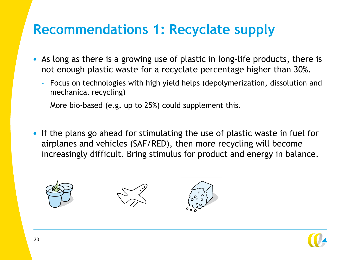### **Recommendations 1: Recyclate supply**

- As long as there is a growing use of plastic in long-life products, there is not enough plastic waste for a recyclate percentage higher than 30%.
	- Focus on technologies with high yield helps (depolymerization, dissolution and mechanical recycling)
	- More bio-based (e.g. up to 25%) could supplement this.
- If the plans go ahead for stimulating the use of plastic waste in fuel for airplanes and vehicles (SAF/RED), then more recycling will become increasingly difficult. Bring stimulus for product and energy in balance.







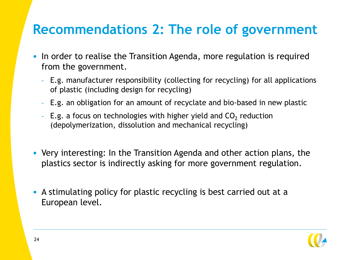### **Recommendations 2: The role of government**

- In order to realise the Transition Agenda, more regulation is required from the government.
	- E.g. manufacturer responsibility (collecting for recycling) for all applications of plastic (including design for recycling)
	- E.g. an obligation for an amount of recyclate and bio-based in new plastic
	- $\,$  E.g. a focus on technologies with higher yield and CO $_2$  reduction (depolymerization, dissolution and mechanical recycling)
- Very interesting: In the Transition Agenda and other action plans, the plastics sector is indirectly asking for more government regulation.
- A stimulating policy for plastic recycling is best carried out at a European level.

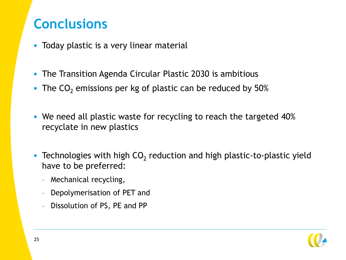### **Conclusions**

- Today plastic is a very linear material
- The Transition Agenda Circular Plastic 2030 is ambitious
- The  $CO<sub>2</sub>$  emissions per kg of plastic can be reduced by 50%
- We need all plastic waste for recycling to reach the targeted 40% recyclate in new plastics
- Technologies with high  $CO<sub>2</sub>$  reduction and high plastic-to-plastic yield have to be preferred:
	- Mechanical recycling,
	- Depolymerisation of PET and
	- Dissolution of PS, PE and PP